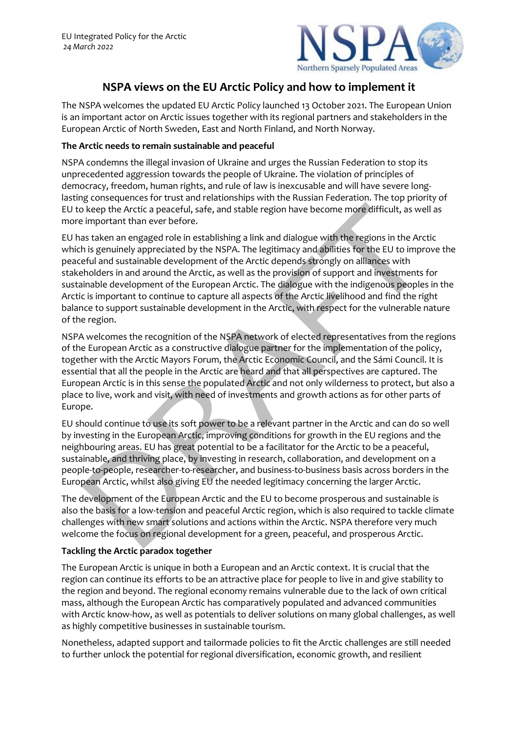

# **NSPA views on the EU Arctic Policy and how to implement it**

The NSPA welcomes the updated EU Arctic Policy launched 13 October 2021. The European Union is an important actor on Arctic issues together with its regional partners and stakeholders in the European Arctic of North Sweden, East and North Finland, and North Norway.

### **The Arctic needs to remain sustainable and peaceful**

NSPA condemns the illegal invasion of Ukraine and urges the Russian Federation to stop its unprecedented aggression towards the people of Ukraine. The violation of principles of democracy, freedom, human rights, and rule of law is inexcusable and will have severe longlasting consequences for trust and relationships with the Russian Federation. The top priority of EU to keep the Arctic a peaceful, safe, and stable region have become more difficult, as well as more important than ever before.

EU has taken an engaged role in establishing a link and dialogue with the regions in the Arctic which is genuinely appreciated by the NSPA. The legitimacy and abilities for the EU to improve the peaceful and sustainable development of the Arctic depends strongly on alliances with stakeholders in and around the Arctic, as well as the provision of support and investments for sustainable development of the European Arctic. The dialogue with the indigenous peoples in the Arctic is important to continue to capture all aspects of the Arctic livelihood and find the right balance to support sustainable development in the Arctic, with respect for the vulnerable nature of the region.

NSPA welcomes the recognition of the NSPA network of elected representatives from the regions of the European Arctic as a constructive dialogue partner for the implementation of the policy, together with the Arctic Mayors Forum, the Arctic Economic Council, and the Sámi Council. It is essential that all the people in the Arctic are heard and that all perspectives are captured. The European Arctic is in this sense the populated Arctic and not only wilderness to protect, but also a place to live, work and visit, with need of investments and growth actions as for other parts of Europe.

EU should continue to use its soft power to be a relevant partner in the Arctic and can do so well by investing in the European Arctic, improving conditions for growth in the EU regions and the neighbouring areas. EU has great potential to be a facilitator for the Arctic to be a peaceful, sustainable, and thriving place, by investing in research, collaboration, and development on a people-to-people, researcher-to-researcher, and business-to-business basis across borders in the European Arctic, whilst also giving EU the needed legitimacy concerning the larger Arctic.

The development of the European Arctic and the EU to become prosperous and sustainable is also the basis for a low-tension and peaceful Arctic region, which is also required to tackle climate challenges with new smart solutions and actions within the Arctic. NSPA therefore very much welcome the focus on regional development for a green, peaceful, and prosperous Arctic.

### **Tackling the Arctic paradox together**

The European Arctic is unique in both a European and an Arctic context. It is crucial that the region can continue its efforts to be an attractive place for people to live in and give stability to the region and beyond. The regional economy remains vulnerable due to the lack of own critical mass, although the European Arctic has comparatively populated and advanced communities with Arctic know-how, as well as potentials to deliver solutions on many global challenges, as well as highly competitive businesses in sustainable tourism.

Nonetheless, adapted support and tailormade policies to fit the Arctic challenges are still needed to further unlock the potential for regional diversification, economic growth, and resilient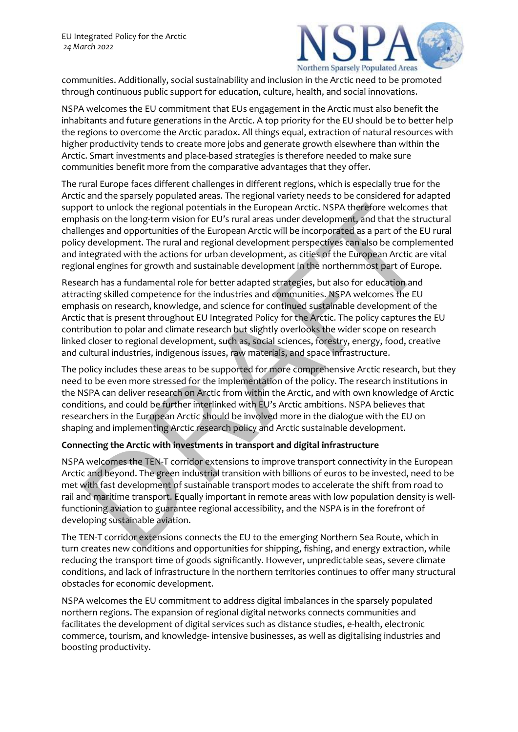

communities. Additionally, social sustainability and inclusion in the Arctic need to be promoted through continuous public support for education, culture, health, and social innovations.

NSPA welcomes the EU commitment that EUs engagement in the Arctic must also benefit the inhabitants and future generations in the Arctic. A top priority for the EU should be to better help the regions to overcome the Arctic paradox. All things equal, extraction of natural resources with higher productivity tends to create more jobs and generate growth elsewhere than within the Arctic. Smart investments and place-based strategies is therefore needed to make sure communities benefit more from the comparative advantages that they offer.

The rural Europe faces different challenges in different regions, which is especially true for the Arctic and the sparsely populated areas. The regional variety needs to be considered for adapted support to unlock the regional potentials in the European Arctic. NSPA therefore welcomes that emphasis on the long-term vision for EU's rural areas under development, and that the structural challenges and opportunities of the European Arctic will be incorporated as a part of the EU rural policy development. The rural and regional development perspectives can also be complemented and integrated with the actions for urban development, as cities of the European Arctic are vital regional engines for growth and sustainable development in the northernmost part of Europe.

Research has a fundamental role for better adapted strategies, but also for education and attracting skilled competence for the industries and communities. NSPA welcomes the EU emphasis on research, knowledge, and science for continued sustainable development of the Arctic that is present throughout EU Integrated Policy for the Arctic. The policy captures the EU contribution to polar and climate research but slightly overlooks the wider scope on research linked closer to regional development, such as, social sciences, forestry, energy, food, creative and cultural industries, indigenous issues, raw materials, and space infrastructure.

The policy includes these areas to be supported for more comprehensive Arctic research, but they need to be even more stressed for the implementation of the policy. The research institutions in the NSPA can deliver research on Arctic from within the Arctic, and with own knowledge of Arctic conditions, and could be further interlinked with EU's Arctic ambitions. NSPA believes that researchers in the European Arctic should be involved more in the dialogue with the EU on shaping and implementing Arctic research policy and Arctic sustainable development.

## **Connecting the Arctic with investments in transport and digital infrastructure**

NSPA welcomes the TEN-T corridor extensions to improve transport connectivity in the European Arctic and beyond. The green industrial transition with billions of euros to be invested, need to be met with fast development of sustainable transport modes to accelerate the shift from road to rail and maritime transport. Equally important in remote areas with low population density is wellfunctioning aviation to guarantee regional accessibility, and the NSPA is in the forefront of developing sustainable aviation.

The TEN-T corridor extensions connects the EU to the emerging Northern Sea Route, which in turn creates new conditions and opportunities for shipping, fishing, and energy extraction, while reducing the transport time of goods significantly. However, unpredictable seas, severe climate conditions, and lack of infrastructure in the northern territories continues to offer many structural obstacles for economic development.

NSPA welcomes the EU commitment to address digital imbalances in the sparsely populated northern regions. The expansion of regional digital networks connects communities and facilitates the development of digital services such as distance studies, e-health, electronic commerce, tourism, and knowledge- intensive businesses, as well as digitalising industries and boosting productivity.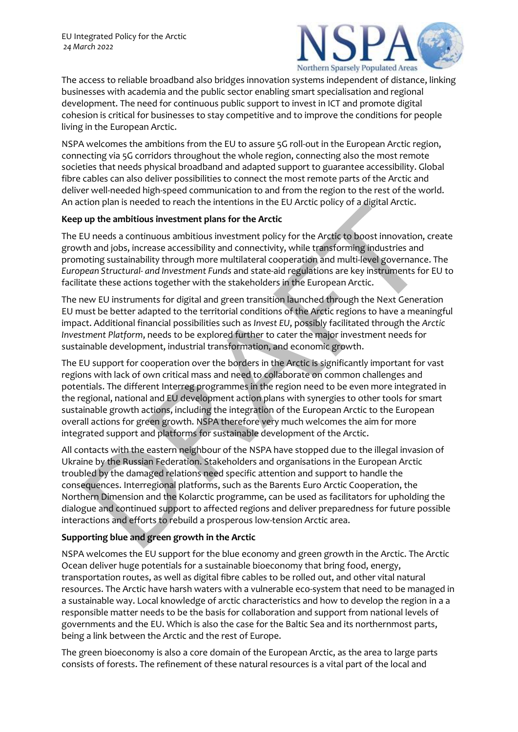

The access to reliable broadband also bridges innovation systems independent of distance, linking businesses with academia and the public sector enabling smart specialisation and regional development. The need for continuous public support to invest in ICT and promote digital cohesion is critical for businesses to stay competitive and to improve the conditions for people living in the European Arctic.

NSPA welcomes the ambitions from the EU to assure 5G roll-out in the European Arctic region, connecting via 5G corridors throughout the whole region, connecting also the most remote societies that needs physical broadband and adapted support to guarantee accessibility. Global fibre cables can also deliver possibilities to connect the most remote parts of the Arctic and deliver well-needed high-speed communication to and from the region to the rest of the world. An action plan is needed to reach the intentions in the EU Arctic policy of a digital Arctic.

#### **Keep up the ambitious investment plans for the Arctic**

The EU needs a continuous ambitious investment policy for the Arctic to boost innovation, create growth and jobs, increase accessibility and connectivity, while transforming industries and promoting sustainability through more multilateral cooperation and multi-level governance. The *European Structural- and Investment Funds* and state-aid regulations are key instruments for EU to facilitate these actions together with the stakeholders in the European Arctic.

The new EU instruments for digital and green transition launched through the Next Generation EU must be better adapted to the territorial conditions of the Arctic regions to have a meaningful impact. Additional financial possibilities such as *Invest EU*, possibly facilitated through the *Arctic Investment Platform*, needs to be explored further to cater the major investment needs for sustainable development, industrial transformation, and economic growth.

The EU support for cooperation over the borders in the Arctic is significantly important for vast regions with lack of own critical mass and need to collaborate on common challenges and potentials. The different Interreg programmes in the region need to be even more integrated in the regional, national and EU development action plans with synergies to other tools for smart sustainable growth actions, including the integration of the European Arctic to the European overall actions for green growth. NSPA therefore very much welcomes the aim for more integrated support and platforms for sustainable development of the Arctic.

All contacts with the eastern neighbour of the NSPA have stopped due to the illegal invasion of Ukraine by the Russian Federation. Stakeholders and organisations in the European Arctic troubled by the damaged relations need specific attention and support to handle the consequences. Interregional platforms, such as the Barents Euro Arctic Cooperation, the Northern Dimension and the Kolarctic programme, can be used as facilitators for upholding the dialogue and continued support to affected regions and deliver preparedness for future possible interactions and efforts to rebuild a prosperous low-tension Arctic area.

### **Supporting blue and green growth in the Arctic**

NSPA welcomes the EU support for the blue economy and green growth in the Arctic. The Arctic Ocean deliver huge potentials for a sustainable bioeconomy that bring food, energy, transportation routes, as well as digital fibre cables to be rolled out, and other vital natural resources. The Arctic have harsh waters with a vulnerable eco-system that need to be managed in a sustainable way. Local knowledge of arctic characteristics and how to develop the region in a a responsible matter needs to be the basis for collaboration and support from national levels of governments and the EU. Which is also the case for the Baltic Sea and its northernmost parts, being a link between the Arctic and the rest of Europe.

The green bioeconomy is also a core domain of the European Arctic, as the area to large parts consists of forests. The refinement of these natural resources is a vital part of the local and